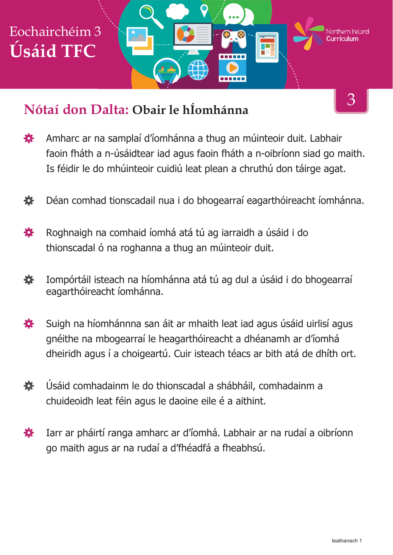

## **Nótaí don Dalta: Obair le hÍomhánna**

- Amharc ar na samplaí d'íomhánna a thug an múinteoir duit. Labhair 娄 faoin fháth a n-úsáidtear iad agus faoin fháth a n-oibríonn siad go maith. Is féidir le do mhúinteoir cuidiú leat plean a chruthú don táirge agat.
- Déan comhad tionscadail nua i do bhogearraí eagarthóireacht íomhánna. 娄
- Roghnaigh na comhaid íomhá atá tú ag iarraidh a úsáid i do 娄 thionscadal ó na roghanna a thug an múinteoir duit.
- Iompórtáil isteach na híomhánna atá tú ag dul a úsáid i do bhogearraí 養 eagarthóireacht íomhánna.
- Suigh na híomhánnna san áit ar mhaith leat iad agus úsáid uirlisí agus 娄 gnéithe na mbogearraí le heagarthóireacht a dhéanamh ar d'íomhá dheiridh agus í a choigeartú. Cuir isteach téacs ar bith atá de dhíth ort.
- 養 Úsáid comhadainm le do thionscadal a shábháil, comhadainm a chuideoidh leat féin agus le daoine eile é a aithint.
- Iarr ar pháirtí ranga amharc ar d'íomhá. Labhair ar na rudaí a oibríonn 娄 go maith agus ar na rudaí a d'fhéadfá a fheabhsú.

3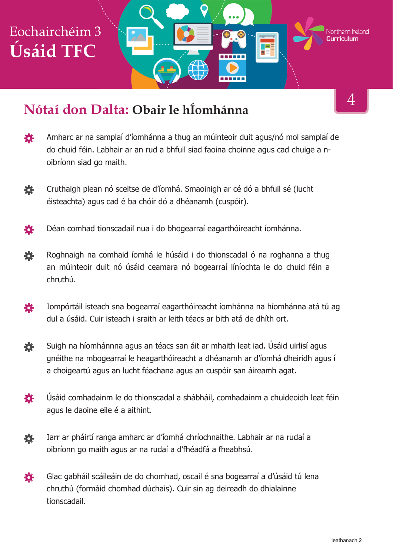# Eochairchéim 3 Northern **Ir**eland **Úsáid TFC**

## **Nótaí don Dalta: Obair le hÍomhánna**

- Amharc ar na samplaí d'íomhánna a thug an múinteoir duit agus/nó mol samplaí de 養 do chuid féin. Labhair ar an rud a bhfuil siad faoina choinne agus cad chuige a noibríonn siad go maith.
- 娄 Cruthaigh plean nó sceitse de d'íomhá. Smaoinigh ar cé dó a bhfuil sé (lucht éisteachta) agus cad é ba chóir dó a dhéanamh (cuspóir).
- Déan comhad tionscadail nua i do bhogearraí eagarthóireacht íomhánna. 各
- Roghnaigh na comhaid íomhá le húsáid i do thionscadal ó na roghanna a thug 荟 an múinteoir duit nó úsáid ceamara nó bogearraí líníochta le do chuid féin a chruthú.
- Iompórtáil isteach sna bogearraí eagarthóireacht íomhánna na híomhánna atá tú ag 養 dul a úsáid. Cuir isteach i sraith ar leith téacs ar bith atá de dhíth ort.
- Suigh na híomhánnna agus an téacs san áit ar mhaith leat iad. Úsáid uirlisí agus 養 gnéithe na mbogearraí le heagarthóireacht a dhéanamh ar d'íomhá dheiridh agus í a choigeartú agus an lucht féachana agus an cuspóir san áireamh agat.
- Úsáid comhadainm le do thionscadal a shábháil, comhadainm a chuideoidh leat féin 登 agus le daoine eile é a aithint.
- Iarr ar pháirtí ranga amharc ar d'íomhá chríochnaithe. Labhair ar na rudaí a 養 oibríonn go maith agus ar na rudaí a d'fhéadfá a fheabhsú.
- Glac gabháil scáileáin de do chomhad, oscail é sna bogearraí a d'úsáid tú lena 瓷 chruthú (formáid chomhad dúchais). Cuir sin ag deireadh do dhialainne tionscadail.

4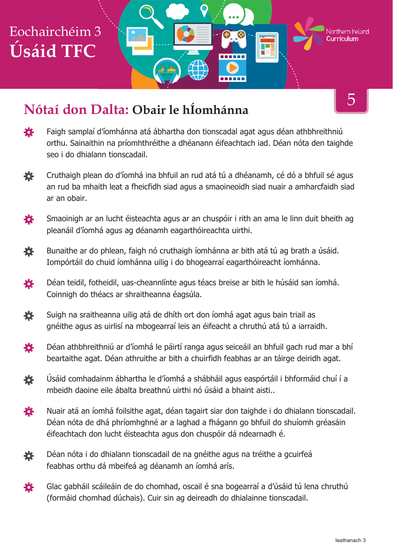## Eochairchéim 3 **Úsáid TFC**

## **Nótaí don Dalta: Obair le hÍomhánna**

登 Faigh samplaí d'íomhánna atá ábhartha don tionscadal agat agus déan athbhreithniú orthu. Sainaithin na príomhthréithe a dhéanann éifeachtach iad. Déan nóta den taighde seo i do dhialann tionscadail.

------

- Cruthaigh plean do d'íomhá ina bhfuil an rud atá tú a dhéanamh, cé dó a bhfuil sé agus 養 an rud ba mhaith leat a fheicfidh siad agus a smaoineoidh siad nuair a amharcfaidh siad ar an obair.
- 娄 Smaoinigh ar an lucht éisteachta agus ar an chuspóir i rith an ama le linn duit bheith ag pleanáil d'íomhá agus ag déanamh eagarthóireachta uirthi.
- 養 Bunaithe ar do phlean, faigh nó cruthaigh íomhánna ar bith atá tú ag brath a úsáid. Iompórtáil do chuid íomhánna uilig i do bhogearraí eagarthóireacht íomhánna.
- Déan teidil, fotheidil, uas-cheannlínte agus téacs breise ar bith le húsáid san íomhá. 娄 Coinnigh do théacs ar shraitheanna éagsúla.
- 烧 Suigh na sraitheanna uilig atá de dhíth ort don íomhá agat agus bain triail as gnéithe agus as uirlisí na mbogearraí leis an éifeacht a chruthú atá tú a iarraidh.
- 養 Déan athbhreithniú ar d'íomhá le páirtí ranga agus seiceáil an bhfuil gach rud mar a bhí beartaithe agat. Déan athruithe ar bith a chuirfidh feabhas ar an táirge deiridh agat.
- Úsáid comhadainm ábhartha le d'íomhá a shábháil agus easpórtáil i bhformáid chuí í a 養 mbeidh daoine eile ábalta breathnú uirthi nó úsáid a bhaint aisti..
- Nuair atá an íomhá foilsithe agat, déan tagairt siar don taighde i do dhialann tionscadail. 娄 Déan nóta de dhá phríomhghné ar a laghad a fhágann go bhfuil do shuíomh gréasáin éifeachtach don lucht éisteachta agus don chuspóir dá ndearnadh é.
- Déan nóta i do dhialann tionscadail de na gnéithe agus na tréithe a gcuirfeá 娄 feabhas orthu dá mbeifeá ag déanamh an íomhá arís.
- 養 Glac gabháil scáileáin de do chomhad, oscail é sna bogearraí a d'úsáid tú lena chruthú (formáid chomhad dúchais). Cuir sin ag deireadh do dhialainne tionscadail.

5

Northern **Ir**eland